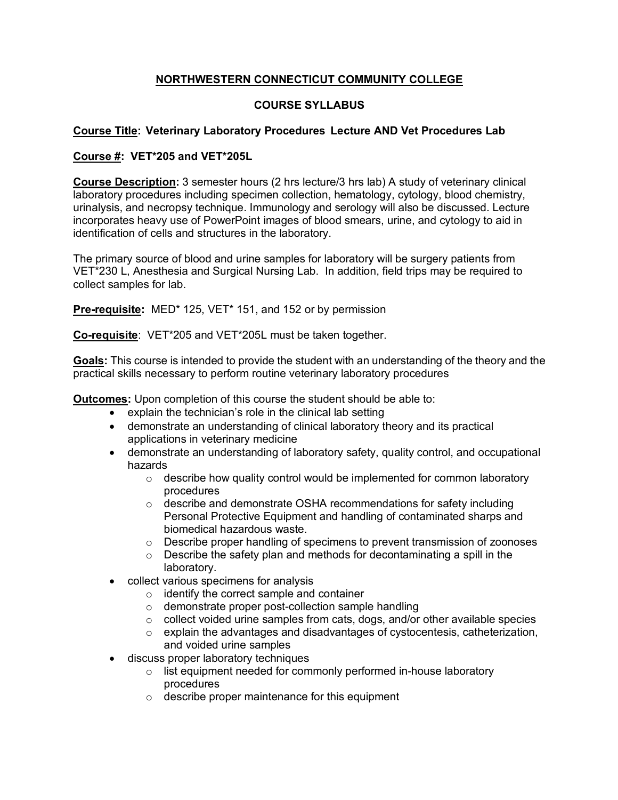## **NORTHWESTERN CONNECTICUT COMMUNITY COLLEGE**

## **COURSE SYLLABUS**

## **Course Title: Veterinary Laboratory Procedures Lecture AND Vet Procedures Lab**

## **Course #: VET\*205 and VET\*205L**

**Course Description:** 3 semester hours (2 hrs lecture/3 hrs lab) A study of veterinary clinical laboratory procedures including specimen collection, hematology, cytology, blood chemistry, urinalysis, and necropsy technique. Immunology and serology will also be discussed. Lecture incorporates heavy use of PowerPoint images of blood smears, urine, and cytology to aid in identification of cells and structures in the laboratory.

The primary source of blood and urine samples for laboratory will be surgery patients from VET\*230 L, Anesthesia and Surgical Nursing Lab. In addition, field trips may be required to collect samples for lab.

**Pre-requisite:** MED\* 125, VET\* 151, and 152 or by permission

**Co-requisite**: VET\*205 and VET\*205L must be taken together.

**Goals:** This course is intended to provide the student with an understanding of the theory and the practical skills necessary to perform routine veterinary laboratory procedures

**Outcomes:** Upon completion of this course the student should be able to:

- explain the technician's role in the clinical lab setting
- demonstrate an understanding of clinical laboratory theory and its practical applications in veterinary medicine
- demonstrate an understanding of laboratory safety, quality control, and occupational hazards
	- $\circ$  describe how quality control would be implemented for common laboratory procedures
	- $\circ$  describe and demonstrate OSHA recommendations for safety including Personal Protective Equipment and handling of contaminated sharps and biomedical hazardous waste.
	- $\circ$  Describe proper handling of specimens to prevent transmission of zoonoses
	- $\circ$  Describe the safety plan and methods for decontaminating a spill in the laboratory.
- collect various specimens for analysis
	- o identify the correct sample and container
	- o demonstrate proper post-collection sample handling
	- $\circ$  collect voided urine samples from cats, dogs, and/or other available species
	- o explain the advantages and disadvantages of cystocentesis, catheterization, and voided urine samples
- discuss proper laboratory techniques
	- o list equipment needed for commonly performed in-house laboratory procedures
	- o describe proper maintenance for this equipment